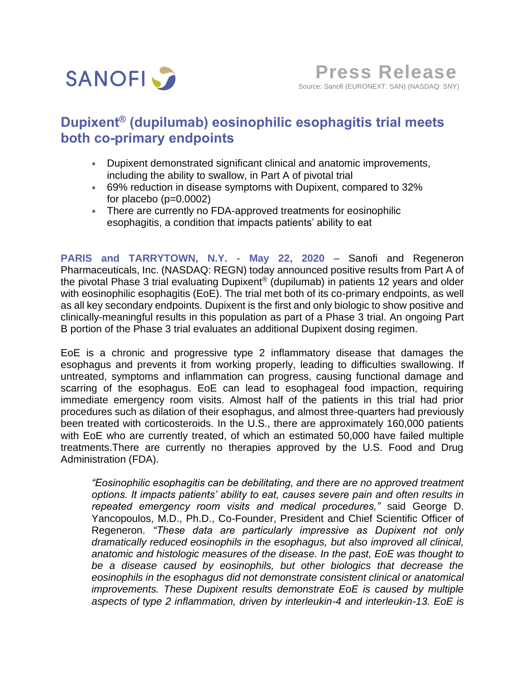

# **Dupixent® (dupilumab) eosinophilic esophagitis trial meets both co-primary endpoints**

- Dupixent demonstrated significant clinical and anatomic improvements, including the ability to swallow, in Part A of pivotal trial
- 69% reduction in disease symptoms with Dupixent, compared to 32% for placebo (p=0.0002)
- There are currently no FDA-approved treatments for eosinophilic esophagitis, a condition that impacts patients' ability to eat

**PARIS and TARRYTOWN, N.Y. - May 22, 2020 –** Sanofi and Regeneron Pharmaceuticals, Inc. (NASDAQ: REGN) today announced positive results from Part A of the pivotal Phase 3 trial evaluating Dupixent® (dupilumab) in patients 12 years and older with eosinophilic esophagitis (EoE). The trial met both of its co-primary endpoints, as well as all key secondary endpoints. Dupixent is the first and only biologic to show positive and clinically-meaningful results in this population as part of a Phase 3 trial. An ongoing Part B portion of the Phase 3 trial evaluates an additional Dupixent dosing regimen.

EoE is a chronic and progressive type 2 inflammatory disease that damages the esophagus and prevents it from working properly, leading to difficulties swallowing. If untreated, symptoms and inflammation can progress, causing functional damage and scarring of the esophagus. EoE can lead to esophageal food impaction, requiring immediate emergency room visits. Almost half of the patients in this trial had prior procedures such as dilation of their esophagus, and almost three-quarters had previously been treated with corticosteroids. In the U.S., there are approximately 160,000 patients with EoE who are currently treated, of which an estimated 50,000 have failed multiple treatments.There are currently no therapies approved by the U.S. Food and Drug Administration (FDA).

*"Eosinophilic esophagitis can be debilitating, and there are no approved treatment options. It impacts patients' ability to eat, causes severe pain and often results in repeated emergency room visits and medical procedures,"* said George D. Yancopoulos, M.D., Ph.D., Co-Founder, President and Chief Scientific Officer of Regeneron. *"These data are particularly impressive as Dupixent not only dramatically reduced eosinophils in the esophagus, but also improved all clinical, anatomic and histologic measures of the disease. In the past, EoE was thought to be a disease caused by eosinophils, but other biologics that decrease the eosinophils in the esophagus did not demonstrate consistent clinical or anatomical improvements. These Dupixent results demonstrate EoE is caused by multiple aspects of type 2 inflammation, driven by interleukin-4 and interleukin-13. EoE is*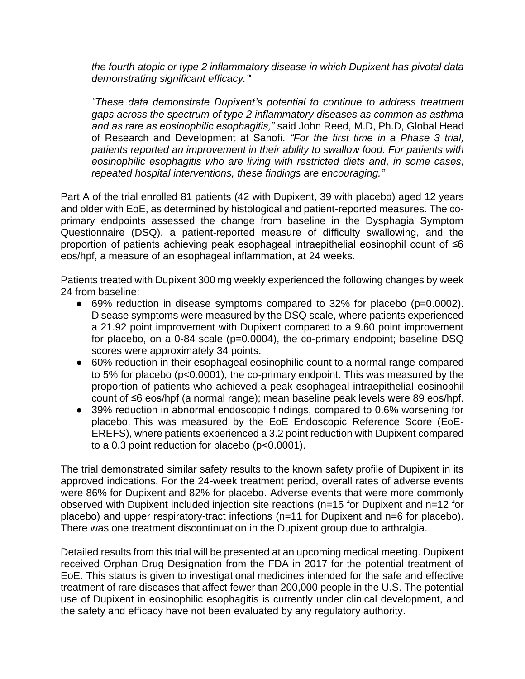*the fourth atopic or type 2 inflammatory disease in which Dupixent has pivotal data demonstrating significant efficacy."*'

*"These data demonstrate Dupixent's potential to continue to address treatment gaps across the spectrum of type 2 inflammatory diseases as common as asthma and as rare as eosinophilic esophagitis,"* said John Reed, M.D, Ph.D, Global Head of Research and Development at Sanofi. *"For the first time in a Phase 3 trial, patients reported an improvement in their ability to swallow food. For patients with eosinophilic esophagitis who are living with restricted diets and, in some cases, repeated hospital interventions, these findings are encouraging."*

Part A of the trial enrolled 81 patients (42 with Dupixent, 39 with placebo) aged 12 years and older with EoE, as determined by histological and patient-reported measures. The coprimary endpoints assessed the change from baseline in the Dysphagia Symptom Questionnaire (DSQ), a patient-reported measure of difficulty swallowing, and the proportion of patients achieving peak esophageal intraepithelial eosinophil count of ≤6 eos/hpf, a measure of an esophageal inflammation, at 24 weeks.

Patients treated with Dupixent 300 mg weekly experienced the following changes by week 24 from baseline:

- 69% reduction in disease symptoms compared to 32% for placebo (p=0.0002). Disease symptoms were measured by the DSQ scale, where patients experienced a 21.92 point improvement with Dupixent compared to a 9.60 point improvement for placebo, on a 0-84 scale (p=0.0004), the co-primary endpoint; baseline DSQ scores were approximately 34 points.
- 60% reduction in their esophageal eosinophilic count to a normal range compared to 5% for placebo (p<0.0001), the co-primary endpoint. This was measured by the proportion of patients who achieved a peak esophageal intraepithelial eosinophil count of ≤6 eos/hpf (a normal range); mean baseline peak levels were 89 eos/hpf.
- 39% reduction in abnormal endoscopic findings, compared to 0.6% worsening for placebo. This was measured by the EoE Endoscopic Reference Score (EoE-EREFS), where patients experienced a 3.2 point reduction with Dupixent compared to a 0.3 point reduction for placebo (p<0.0001).

The trial demonstrated similar safety results to the known safety profile of Dupixent in its approved indications. For the 24-week treatment period, overall rates of adverse events were 86% for Dupixent and 82% for placebo. Adverse events that were more commonly observed with Dupixent included injection site reactions (n=15 for Dupixent and n=12 for placebo) and upper respiratory-tract infections (n=11 for Dupixent and n=6 for placebo). There was one treatment discontinuation in the Dupixent group due to arthralgia.

Detailed results from this trial will be presented at an upcoming medical meeting. Dupixent received Orphan Drug Designation from the FDA in 2017 for the potential treatment of EoE. This status is given to investigational medicines intended for the safe and effective treatment of rare diseases that affect fewer than 200,000 people in the U.S. The potential use of Dupixent in eosinophilic esophagitis is currently under clinical development, and the safety and efficacy have not been evaluated by any regulatory authority.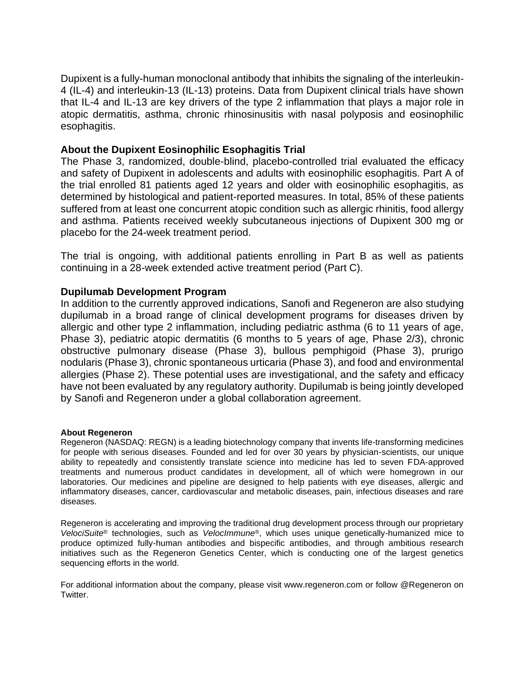Dupixent is a fully-human monoclonal antibody that inhibits the signaling of the interleukin-4 (IL-4) and interleukin-13 (IL-13) proteins. Data from Dupixent clinical trials have shown that IL-4 and IL-13 are key drivers of the type 2 inflammation that plays a major role in atopic dermatitis, asthma, chronic rhinosinusitis with nasal polyposis and eosinophilic esophagitis.

## **About the Dupixent Eosinophilic Esophagitis Trial**

The Phase 3, randomized, double-blind, placebo-controlled trial evaluated the efficacy and safety of Dupixent in adolescents and adults with eosinophilic esophagitis. Part A of the trial enrolled 81 patients aged 12 years and older with eosinophilic esophagitis, as determined by histological and patient-reported measures. In total, 85% of these patients suffered from at least one concurrent atopic condition such as allergic rhinitis, food allergy and asthma. Patients received weekly subcutaneous injections of Dupixent 300 mg or placebo for the 24-week treatment period.

The trial is ongoing, with additional patients enrolling in Part B as well as patients continuing in a 28-week extended active treatment period (Part C).

## **Dupilumab Development Program**

In addition to the currently approved indications, Sanofi and Regeneron are also studying dupilumab in a broad range of clinical development programs for diseases driven by allergic and other type 2 inflammation, including pediatric asthma (6 to 11 years of age, Phase 3), pediatric atopic dermatitis (6 months to 5 years of age, Phase 2/3), chronic obstructive pulmonary disease (Phase 3), bullous pemphigoid (Phase 3), prurigo nodularis (Phase 3), chronic spontaneous urticaria (Phase 3), and food and environmental allergies (Phase 2). These potential uses are investigational, and the safety and efficacy have not been evaluated by any regulatory authority. Dupilumab is being jointly developed by Sanofi and Regeneron under a global collaboration agreement.

## **About Regeneron**

Regeneron (NASDAQ: REGN) is a leading biotechnology company that invents life-transforming medicines for people with serious diseases. Founded and led for over 30 years by physician-scientists, our unique ability to repeatedly and consistently translate science into medicine has led to seven FDA-approved treatments and numerous product candidates in development, all of which were homegrown in our laboratories. Our medicines and pipeline are designed to help patients with eye diseases, allergic and inflammatory diseases, cancer, cardiovascular and metabolic diseases, pain, infectious diseases and rare diseases.

Regeneron is accelerating and improving the traditional drug development process through our proprietary *VelociSuite*® technologies, such as *VelocImmune*®, which uses unique genetically-humanized mice to produce optimized fully-human antibodies and bispecific antibodies, and through ambitious research initiatives such as the Regeneron Genetics Center, which is conducting one of the largest genetics sequencing efforts in the world.

For additional information about the company, please visit www.regeneron.com or follow @Regeneron on Twitter.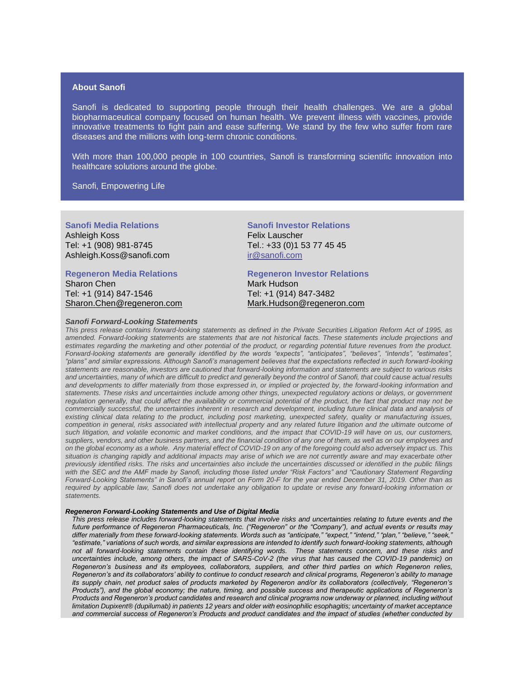### **About Sanofi**

Sanofi is dedicated to supporting people through their health challenges. We are a global biopharmaceutical company focused on human health. We prevent illness with vaccines, provide innovative treatments to fight pain and ease suffering. We stand by the few who suffer from rare diseases and the millions with long-term chronic conditions.

With more than 100,000 people in 100 countries, Sanofi is transforming scientific innovation into healthcare solutions around the globe.

Sanofi, Empowering Life

**Sanofi Media Relations**  Ashleigh Koss Tel: +1 (908) 981-8745 [Ashleigh.Koss@sanofi.com](mailto:Ashleigh.Koss@sanofi.com)

#### **Regeneron Media Relations**

Sharon Chen Tel: +1 (914) 847-1546 [Sharon.Chen@regeneron.com](mailto:Hannah.Kwagh@regeneron.com)

#### *Sanofi Forward-Looking Statements*

**Sanofi Investor Relations**  Felix Lauscher Tel.: +33 (0)1 53 77 45 45 [ir@sanofi.com](mailto:ir@sanofi.com)

**Regeneron Investor Relations**

Mark Hudson Tel: +1 (914) 847-3482 Mark.Hudson@regeneron.com

*This press release contains forward-looking statements as defined in the Private Securities Litigation Reform Act of 1995, as amended. Forward-looking statements are statements that are not historical facts. These statements include projections and estimates regarding the marketing and other potential of the product, or regarding potential future revenues from the product. Forward-looking statements are generally identified by the words "expects", "anticipates", "believes", "intends", "estimates", "plans" and similar expressions. Although Sanofi's management believes that the expectations reflected in such forward-looking statements are reasonable, investors are cautioned that forward-looking information and statements are subject to various risks and uncertainties, many of which are difficult to predict and generally beyond the control of Sanofi, that could cause actual results and developments to differ materially from those expressed in, or implied or projected by, the forward-looking information and statements. These risks and uncertainties include among other things, unexpected regulatory actions or delays, or government regulation generally, that could affect the availability or commercial potential of the product, the fact that product may not be commercially successful, the uncertainties inherent in research and development, including future clinical data and analysis of existing clinical data relating to the product, including post marketing, unexpected safety, quality or manufacturing issues, competition in general, risks associated with intellectual property and any related future litigation and the ultimate outcome of such litigation, and volatile economic and market conditions, and the impact that COVID-19 will have on us, our customers, suppliers, vendors, and other business partners, and the financial condition of any one of them, as well as on our employees and on the global economy as a whole. Any material effect of COVID-19 on any of the foregoing could also adversely impact us. This situation is changing rapidly and additional impacts may arise of which we are not currently aware and may exacerbate other previously identified risks. The risks and uncertainties also include the uncertainties discussed or identified in the public filings with the SEC and the AMF made by Sanofi, including those listed under "Risk Factors" and "Cautionary Statement Regarding Forward-Looking Statements" in Sanofi's annual report on Form 20-F for the year ended December 31, 2019. Other than as required by applicable law, Sanofi does not undertake any obligation to update or revise any forward-looking information or statements.*

#### *Regeneron Forward-Looking Statements and Use of Digital Media*

*This press release includes forward-looking statements that involve risks and uncertainties relating to future events and the future performance of Regeneron Pharmaceuticals, Inc. ("Regeneron" or the "Company"), and actual events or results may differ materially from these forward-looking statements. Words such as "anticipate," "expect," "intend," "plan," "believe," "seek," "estimate," variations of such words, and similar expressions are intended to identify such forward-looking statements, although not all forward-looking statements contain these identifying words. These statements concern, and these risks and uncertainties include, among others, the impact of SARS-CoV-2 (the virus that has caused the COVID-19 pandemic) on Regeneron's business and its employees, collaborators, suppliers, and other third parties on which Regeneron relies, Regeneron's and its collaborators' ability to continue to conduct research and clinical programs, Regeneron's ability to manage its supply chain, net product sales of products marketed by Regeneron and/or its collaborators (collectively, "Regeneron's Products"), and the global economy; the nature, timing, and possible success and therapeutic applications of Regeneron's Products and Regeneron's product candidates and research and clinical programs now underway or planned, including without limitation Dupixent® (dupilumab) in patients 12 years and older with eosinophilic esophagitis; uncertainty of market acceptance and commercial success of Regeneron's Products and product candidates and the impact of studies (whether conducted by*